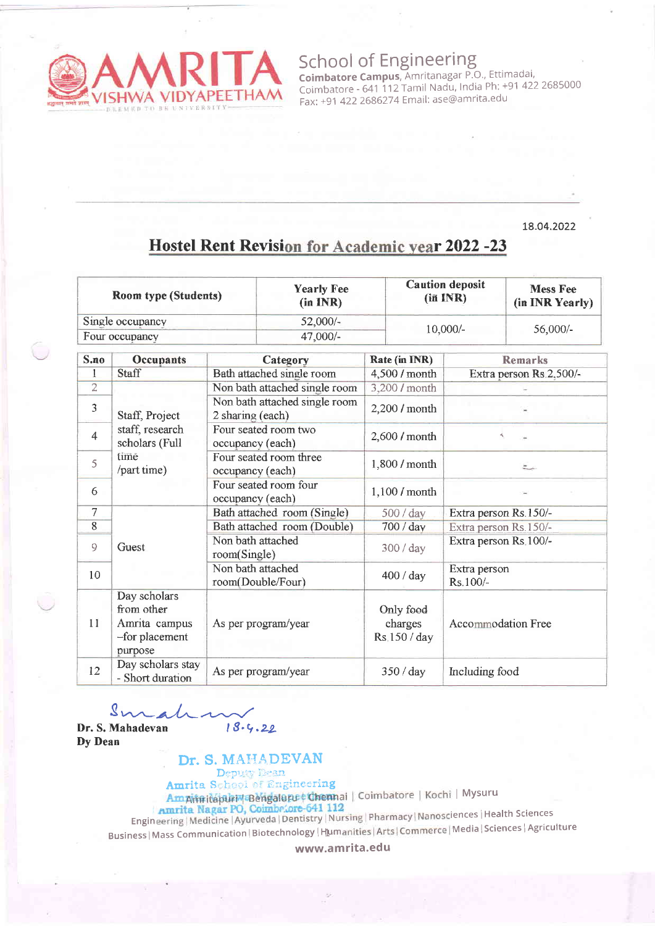

School of Engineering **Coimbatore Campus**, Amritanagar P.O., Ettimadai Coimbatore - 641 112 Tamil Nadu, India Ph: +91 422 2685000 Fax: +91 4222686274 Email: ase@amrita.edu

## 18.o4.2022

# Hostel Rent Revision for Academic year 2022 -23

| <b>Room type (Students)</b> |                                                                          |                                                   | <b>Yearly Fee</b><br>(in INR) |                                      | <b>Caution deposit</b><br>$(iii$ INR) | <b>Mess Fee</b><br>(in INR Yearly) |
|-----------------------------|--------------------------------------------------------------------------|---------------------------------------------------|-------------------------------|--------------------------------------|---------------------------------------|------------------------------------|
| Single occupancy            |                                                                          |                                                   | $52,000/-$<br>47,000/-        |                                      | $10,000/-$<br>56,000/-                |                                    |
| Four occupancy              |                                                                          |                                                   |                               |                                      |                                       |                                    |
| S.no                        | <b>Occupants</b>                                                         | Category                                          |                               | Rate (in INR)                        | <b>Remarks</b>                        |                                    |
| $\mathbf{1}$                | Staff                                                                    | Bath attached single room                         |                               | 4,500 / month                        | Extra person Rs.2,500/-               |                                    |
| $\overline{2}$              |                                                                          | Non bath attached single room                     |                               | 3,200 / month                        |                                       |                                    |
| 3                           | Staff, Project                                                           | Non bath attached single room<br>2 sharing (each) |                               | 2,200 / month                        |                                       |                                    |
| $\overline{4}$              | staff, research<br>scholars (Full                                        | Four seated room two<br>occupancy (each)          |                               | 2,600 / month                        | A.                                    |                                    |
| 5                           | time<br>/part time)                                                      | Four seated room three<br>occupancy (each)        |                               | 1,800 / month                        | $\approx$                             |                                    |
| 6                           |                                                                          | Four seated room four<br>occupancy (each)         |                               | 1,100 / month                        |                                       |                                    |
| $\overline{7}$              |                                                                          | Bath attached room (Single)                       |                               | 500 / day                            | Extra person Rs.150/-                 |                                    |
| $8\,$                       |                                                                          | Bath attached room (Double)                       |                               | 700 / day                            | Extra person Rs.150/-                 |                                    |
| 9                           | Guest                                                                    | Non bath attached<br>room(Single)                 |                               | 300 / day                            | Extra person Rs 100/-                 |                                    |
| 10                          |                                                                          | Non bath attached<br>room(Double/Four)            |                               | 400 / day                            | Extra person<br>Rs.100/-              |                                    |
| 11                          | Day scholars<br>from other<br>Amrita campus<br>-for placement<br>purpose |                                                   | As per program/year           | Only food<br>charges<br>Rs.150 / day | <b>Accommodation Free</b>             |                                    |
| 12                          | Day scholars stay<br>- Short duration                                    | As per program/year                               |                               | 350 / day                            | Including food                        |                                    |

 $Smathedv$   $\sim$  18.4.22

Dy Dean

# Dr. S. MAHADEVAN

Deputy Dean Amrita School of Engineering

I MYsuru

Engineering | Medicine | Ayurveda | Den Business | Mass Communication | Biotechnology | Humanities | Arts | Commerce | Media | Sciences | Agriculture

www.amrita.edu